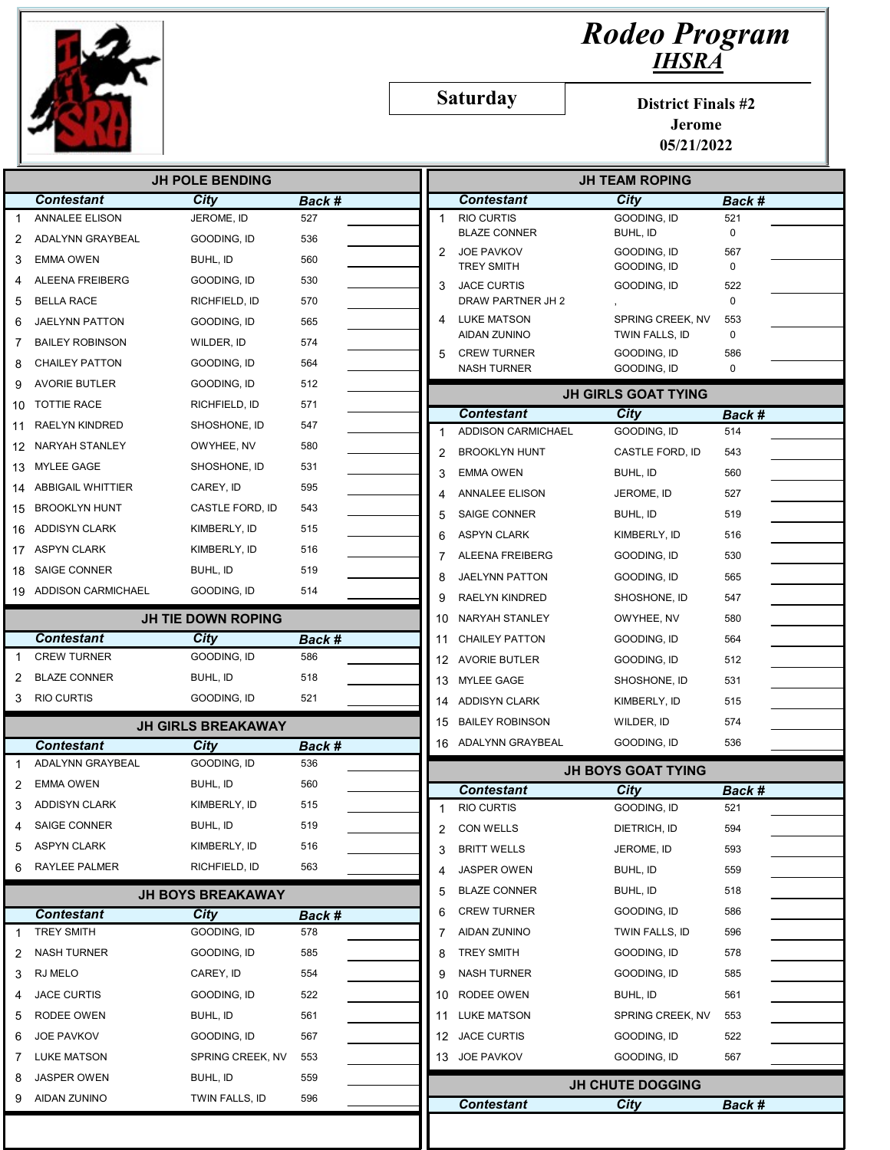

## Rodeo Program IHSRA

Saturday

District Finals #2

Jerome 05/21/2022

| <b>JH POLE BENDING</b>                              |                           |                           |        |              | <b>JH TEAM ROPING</b>                   |                            |                    |  |
|-----------------------------------------------------|---------------------------|---------------------------|--------|--------------|-----------------------------------------|----------------------------|--------------------|--|
|                                                     | <b>Contestant</b>         | City                      | Back # |              | <b>Contestant</b>                       | City                       | Back #             |  |
|                                                     | <b>ANNALEE ELISON</b>     | JEROME, ID                | 527    | $\mathbf{1}$ | <b>RIO CURTIS</b>                       | GOODING, ID                | 521                |  |
| 2                                                   | ADALYNN GRAYBEAL          | GOODING, ID               | 536    |              | <b>BLAZE CONNER</b>                     | BUHL, ID                   | $\mathbf 0$        |  |
| 3                                                   | <b>EMMA OWEN</b>          | BUHL, ID                  | 560    | 2            | <b>JOE PAVKOV</b>                       | GOODING, ID                | 567<br>$\mathbf 0$ |  |
| Δ                                                   | ALEENA FREIBERG           | GOODING, ID               | 530    | 3            | <b>TREY SMITH</b><br><b>JACE CURTIS</b> | GOODING, ID<br>GOODING, ID | 522                |  |
| 5                                                   | <b>BELLA RACE</b>         | RICHFIELD, ID             | 570    |              | DRAW PARTNER JH 2                       |                            | $\mathbf 0$        |  |
| 6                                                   | JAELYNN PATTON            | GOODING, ID               | 565    | 4            | <b>LUKE MATSON</b>                      | SPRING CREEK, NV           | 553                |  |
| 7                                                   | <b>BAILEY ROBINSON</b>    | WILDER. ID                | 574    |              | <b>AIDAN ZUNINO</b>                     | TWIN FALLS, ID             | 0                  |  |
| 8                                                   | <b>CHAILEY PATTON</b>     | GOODING, ID               | 564    | 5            | <b>CREW TURNER</b>                      | GOODING, ID                | 586                |  |
| 9                                                   | <b>AVORIE BUTLER</b>      | GOODING, ID               | 512    |              | <b>NASH TURNER</b>                      | GOODING, ID                | 0                  |  |
| 10                                                  | <b>TOTTIE RACE</b>        | RICHFIELD, ID             | 571    |              |                                         | <b>JH GIRLS GOAT TYING</b> |                    |  |
| 11                                                  | <b>RAELYN KINDRED</b>     | SHOSHONE, ID              | 547    |              | <b>Contestant</b>                       | City                       | Back #             |  |
|                                                     | NARYAH STANLEY            |                           | 580    | 1            | <b>ADDISON CARMICHAEL</b>               | GOODING, ID                | 514                |  |
| 12                                                  |                           | OWYHEE, NV                |        | 2            | <b>BROOKLYN HUNT</b>                    | CASTLE FORD, ID            | 543                |  |
| 13                                                  | <b>MYLEE GAGE</b>         | SHOSHONE, ID              | 531    | 3            | <b>EMMA OWEN</b>                        | BUHL, ID                   | 560                |  |
| 14                                                  | <b>ABBIGAIL WHITTIER</b>  | CAREY, ID                 | 595    | 4            | <b>ANNALEE ELISON</b>                   | JEROME, ID                 | 527                |  |
| 15                                                  | <b>BROOKLYN HUNT</b>      | CASTLE FORD, ID           | 543    | 5            | <b>SAIGE CONNER</b>                     | BUHL, ID                   | 519                |  |
| 16                                                  | <b>ADDISYN CLARK</b>      | KIMBERLY, ID              | 515    | 6            | <b>ASPYN CLARK</b>                      | KIMBERLY, ID               | 516                |  |
| 17                                                  | <b>ASPYN CLARK</b>        | KIMBERLY, ID              | 516    | 7            | ALEENA FREIBERG                         | GOODING, ID                | 530                |  |
| 18                                                  | <b>SAIGE CONNER</b>       | BUHL, ID                  | 519    | 8            | JAELYNN PATTON                          | GOODING, ID                | 565                |  |
| 19                                                  | <b>ADDISON CARMICHAEL</b> | GOODING, ID               | 514    | 9            | RAELYN KINDRED                          | SHOSHONE, ID               | 547                |  |
|                                                     |                           | <b>JH TIE DOWN ROPING</b> |        | 10           | NARYAH STANLEY                          | OWYHEE, NV                 | 580                |  |
|                                                     | <b>Contestant</b>         | City                      | Back # | 11           | <b>CHAILEY PATTON</b>                   | GOODING, ID                | 564                |  |
| -1                                                  | <b>CREW TURNER</b>        | GOODING, ID               | 586    | 12           | <b>AVORIE BUTLER</b>                    | GOODING, ID                | 512                |  |
| 2                                                   | <b>BLAZE CONNER</b>       | BUHL, ID                  | 518    | 13           | <b>MYLEE GAGE</b>                       | SHOSHONE, ID               | 531                |  |
| 3                                                   | <b>RIO CURTIS</b>         | GOODING, ID               | 521    | 14           | <b>ADDISYN CLARK</b>                    | KIMBERLY, ID               | 515                |  |
|                                                     |                           |                           |        | 15           | <b>BAILEY ROBINSON</b>                  | WILDER, ID                 | 574                |  |
|                                                     |                           | <b>JH GIRLS BREAKAWAY</b> |        |              | 16 ADALYNN GRAYBEAL                     | GOODING, ID                | 536                |  |
|                                                     |                           |                           |        |              |                                         |                            |                    |  |
|                                                     | <b>Contestant</b>         | City                      | Back # |              |                                         |                            |                    |  |
|                                                     | ADALYNN GRAYBEAL          | GOODING, ID               | 536    |              |                                         | <b>JH BOYS GOAT TYING</b>  |                    |  |
|                                                     | <b>EMMA OWEN</b>          | BUHL, ID                  | 560    |              | <b>Contestant</b>                       | City                       | <b>Back #</b>      |  |
|                                                     | <b>ADDISYN CLARK</b>      | KIMBERLY, ID              | 515    |              | <b>RIO CURTIS</b>                       | GOODING, ID                | 521                |  |
|                                                     | SAIGE CONNER              | BUHL, ID                  | 519    | 2            | <b>CON WELLS</b>                        | DIETRICH, ID               | 594                |  |
|                                                     | <b>ASPYN CLARK</b>        | KIMBERLY, ID              | 516    | 3            | <b>BRITT WELLS</b>                      | JEROME, ID                 | 593                |  |
|                                                     | RAYLEE PALMER             | RICHFIELD, ID             | 563    | 4            | JASPER OWEN                             | BUHL, ID                   | 559                |  |
|                                                     |                           | <b>JH BOYS BREAKAWAY</b>  |        | 5            | <b>BLAZE CONNER</b>                     | BUHL, ID                   | 518                |  |
|                                                     | <b>Contestant</b>         | City                      | Back # | 6            | <b>CREW TURNER</b>                      | GOODING, ID                | 586                |  |
|                                                     | <b>TREY SMITH</b>         | GOODING, ID               | 578    | 7            | AIDAN ZUNINO                            | TWIN FALLS, ID             | 596                |  |
|                                                     | <b>NASH TURNER</b>        | GOODING, ID               | 585    | 8            | <b>TREY SMITH</b>                       | GOODING, ID                | 578                |  |
|                                                     | RJ MELO                   | CAREY, ID                 | 554    | 9            | <b>NASH TURNER</b>                      | GOODING, ID                | 585                |  |
|                                                     | <b>JACE CURTIS</b>        | GOODING, ID               | 522    | 10           | RODEE OWEN                              | BUHL, ID                   | 561                |  |
|                                                     | RODEE OWEN                | BUHL, ID                  | 561    | 11           | <b>LUKE MATSON</b>                      | SPRING CREEK, NV           | 553                |  |
|                                                     | JOE PAVKOV                | GOODING, ID               | 567    | 12           | <b>JACE CURTIS</b>                      | GOODING, ID                | 522                |  |
| 1<br>2<br>3<br>5<br>6<br>1<br>2<br>3<br>4<br>5<br>6 | <b>LUKE MATSON</b>        | SPRING CREEK, NV          | 553    |              | 13 JOE PAVKOV                           | GOODING, ID                | 567                |  |
| 8                                                   | <b>JASPER OWEN</b>        | BUHL, ID                  | 559    |              |                                         | <b>JH CHUTE DOGGING</b>    |                    |  |